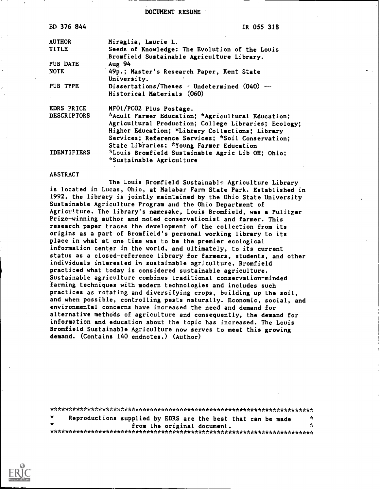DOCUMENT RESUME

| ED 376 844         | IR 055 318                                           |
|--------------------|------------------------------------------------------|
| <b>AUTHOR</b>      | Miraglia, Laurie L.                                  |
| <b>TITLE</b>       | Seeds of Knowledge: The Evolution of the Louis       |
|                    | Bromfield Sustainable Agriculture Library.           |
| PUB DATE           | Aug 94                                               |
| <b>NOTE</b>        | 49p.; Master's Research Paper, Kent State            |
|                    | University.                                          |
| PUB TYPE           | Dissertations/Theses - Undetermined $(040)$ --       |
|                    | Historical Materials (060)                           |
| EDRS PRICE         | MF01/PC02 Plus Postage.                              |
| <b>DESCRIPTORS</b> | *Adult Farmer Education; *Agricultural Education;    |
|                    | Agricultural Production; College Libraries; Ecology; |
|                    | Higher Education; *Library Collections; Library      |
|                    | Services; Reference Services; *Soil Conservation;    |
|                    | State Libraries; *Young Farmer Education             |
| <b>IDENTIFIERS</b> | *Louis Bromfield Sustainable Agric Lib OH; Ohio;     |
|                    | <i>*Sustainable Agriculture</i>                      |
|                    |                                                      |

#### ABSTRACT

The Louis Bromfield Sustainable Agriculture Library is located in Lucas, Ohio, at Malabar Farm State Park. Established in 1992, the library is jointly maintained by the Ohio State University Sustainable Agriculture Program and the Ohio Department of Agriculture. The library's namesake, Louis Bromfield, was a Pulitzer Prize-winning author and noted conservationist and farmer. This research paper traces the development of the collection from its origins as a part of Bromfield's personal working library to its place in what at one time was to be the premier ecological information center in the world, and ultimately, to its current status as a closed-reference library for farmers, students, and other individuals interested in sustainable agriculture. Bromfield practiced what today is considered sustainable agriculture. Sustainable agriculture combines traditional conservation-minded farming techniques with modern technologies and includes such practices as rotating and diversifying crops, building up the soil, and when possible, controlling pests naturally. Economic, social, and environmental concerns have increased the need and demand for alternative methods of agriculture and consequently, the demand for information and education about the topic has increased. The Louis Bromfield Sustainable Agriculture now serves to meet this growing demand. (Contains 140 endnotes.) (Author)

| - X | Reproductions supplied by EDRS are the best that can be made |  |  |                             |  |  |  | -X |  |  |
|-----|--------------------------------------------------------------|--|--|-----------------------------|--|--|--|----|--|--|
| ×   |                                                              |  |  | from the original document. |  |  |  | Y. |  |  |
|     |                                                              |  |  |                             |  |  |  |    |  |  |

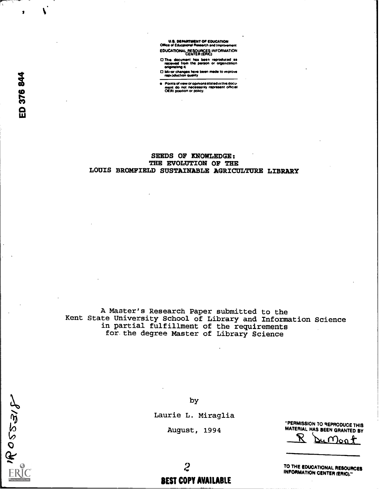IMPARTMENT OF EOUCATOON Mice of Educsuonel Raseatte and Imetarnatu EDUCATIONAL RESOURCES INFORMATION CENTER (ERIC)

0 This document Ms been tedrodueed as received Item ttm Demon or otgamiation originating it

D Mirior changes have been made to improve<br>repioduction quality

Points of view or opinions stated in this docu-<br>ment do not necessarily represent official<br>OERI position or policy.

### SEEDS OF KNOWLEDGE: THE EVOLUTION OF THE LOUIS BROMFIELD SUSTAINABLE AGRICULTURE LIBRARY

A Master's Research Paper submitted to the Kent State University School of Library and Information Science in partial fulfillment of the requirements for the degree Master of Library Science

 $4605575$ 

by

Laurie L. Miraglia

August, 1994

"PERMISSION TO REPRODUCE THIS MATERIAL HAS BEEN GRANTED BY

'K <u>n</u>م(n

TO THE EDUCATIONAL RESOURCES INFORMATION CENTER (ERIC)."

2 BEST COPY AVAILABLE

 $\mathbf{I}$  and  $\mathbf{I}$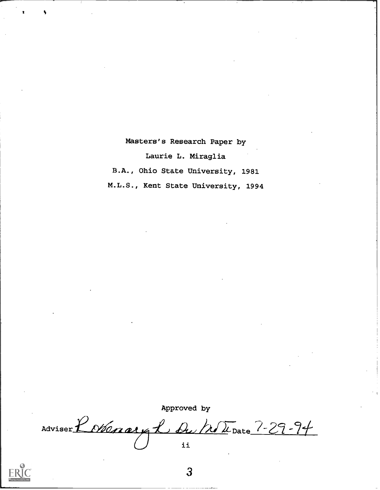Masters's Research Paper by

Laurie L. Miraglia

B.A., Ohio State University, 1981

M.L.S., Kent State University, 1994

Approved by Adviser Robenary L du Mr U Date 7-29-94 ii



 $\mathbf{3}$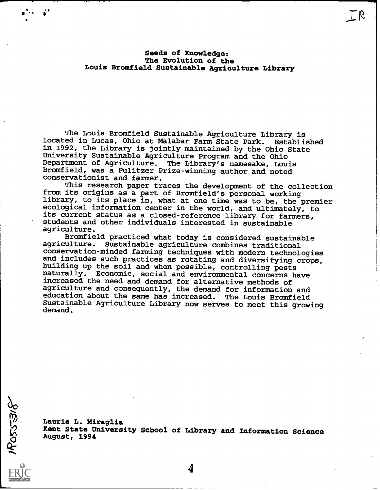Seeds of Knowledge: The Evolution of the Louis Bromfield Sustainable Agriculture Library  $TR$ 

The Louis Bromfield Sustainable Agriculture Library is<br>ed in Lucas, Ohio at Malabar Farm State Park. Established located in Lucas, Ohio at Malabar Farm State Park. in 1992, the Library is jointly maintained by the Ohio State University Sustainable Agriculture Program and the Ohio Department of Agriculture. The Library's namesake, Louis Bromfield, was a Pulitzer Prize-winning author and noted conservationist and farmer.

This research paper traces the development of the collection from its origins as a part of Bromfield's personal working library, to its place in, what at one time was to be, the premier ecological information center in the world, and ultimately, to its current status as a closed-reference library for farmers, students and other individuals interested in sustainable agriculture.

Bromfield practiced what today is considered sustainable agriculture. Sustainable agriculture combines traditional conservation-minded farming techniques with modern technologies building up the soil and when possible, controlling pests naturally. Economic, social and environmental concerns have increased the need and demand for alternative methods of agriculture and consequently, the demand for information and education about the same has increased. The Louis Bromfield Sustainable Agriculture Library now serves to meet this growing demand.

Laurie L. Miraglia Kent State University School of Library and Information Science August, 1994

ROSSSRG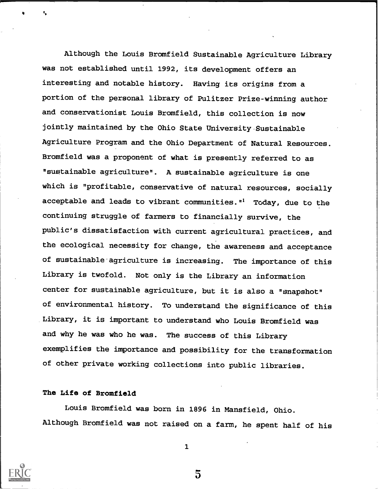Although the Louis Bromfield Sustainable Agriculture Library was not established until 1992, its development offers an interesting and notable history. Having its origins from a portion of the personal library of Pulitzer Prize-winning author and conservationist Louis Bromfield, this collection is now jointly maintained by the Ohio State University Sustainable Agriculture Program and the Ohio Department of Natural Resources. Bromfield was a proponent of what is presently referred to as "sustainable agriculture". A sustainable agriculture is one which is "profitable, conservative of natural resources, socially acceptable and leads to vibrant communities."' Today, due to the continuing struggle of farmers to financially survive, the public's dissatisfaction with current agricultural practices, and the ecological necessity for change, the awareness and acceptance of sustainable agriculture is increasing. The importance of this Library is twofold. Not only is the Library an information center for sustainable agriculture, but it is also a "snapshot" of environmental history. To understand the significance of this Library, it is important to understand who Louis Bromfield was and why he was who he was. The success of this Library exemplifies the importance and possibility for the transformation of other private working collections into public libraries.

### The Life of Bromfield

Louis Bromfield was born in 1896 in Mansfield, Ohio. Although Bromfield was not raised on a farm, he spent half of his



1

 $\bar{5}$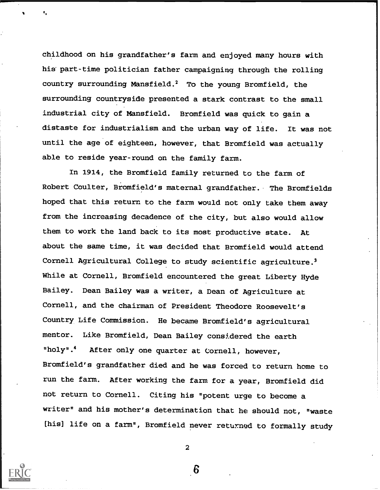childhood on his grandfather's farm and enjoyed many hours with his part-time politician father campaigning through the rolling country surrounding Mansfield.2 To the young Bromfield, the surrounding countryside presented a stark contrast to the small industrial city of Mansfield. Bromfield was quick to gain a distaste for industrialism and the urban way of life. It was not until the age of eighteen, however, that Bromfield was actually able to reside year-round on the family farm.

In 1914, the Bromfield family returned to the farm of Robert Coulter, Bromfield's maternal grandfather. The Bromfields hoped that this return to the farm would not only take them away from the increasing decadence of the city, but also would allow them to work the land back to its most productive state. At about the same time, it was decided that Bromfield would attend Cornell Agricultural College to study scientific agriculture.3 While at Cornell, Bromfield encountered the great Liberty Hyde Bailey. Dean Bailey was a writer, a Dean of Agriculture at Cornell, and the chairman of President Theodore Roosevelt's Country Life Commission. He became Bromfield's agricultural mentor. Like Bromfield, Dean Bailey considered the earth "holy".4 After only one quarter at Cornell, however, Bromfield's grandfather died and he was forced to return home to run the farm. After working the farm for a year, Bromfield did not return to Cornell. Citing his "potent urge to become a writer" and his mother's determination that he should not, "waste [his] life on a farm", Bromfield never returned to formally study



2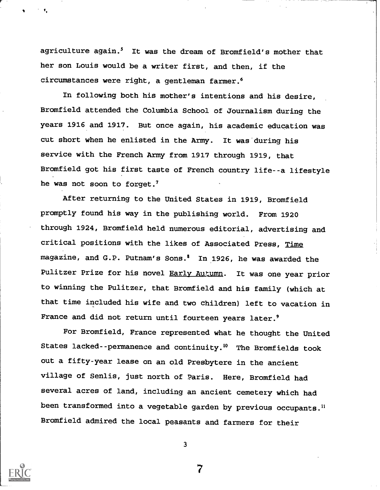agriculture again.<sup>5</sup> It was the dream of Bromfield's mother that her son Louis would be a writer first, and then, if the circumstances were right, a gentleman farmer.6

In following both his mother's intentions and his desire, Bromfield attended the Columbia School of Journalism during the years 1916 and 1917. But once again, his academic education was cut short when he enlisted in the Army. It was during his service with the French Army from 1917 through 1919, that Bromfield got his first taste of French country life--a lifestyle he was not soon to forget.7

After returning to the United States in 1919, Bromfield promptly found his way in the publishing world. From 1920 through 1924, Bromfield held numerous editorial, advertising and critical positions with the likes of Associated Press, Time magazine, and G.P. Putnam's Sons.<sup>8</sup> In 1926, he was awarded the Pulitzer Prize for his novel Early Autumn. It was one year prior to winning the Pulitzer, that Bromfield and his family (which at that time included his wife and two children) left to vacation in France and did not return until fourteen years later.'

For Bromfield, France represented what he thought the United States lacked--permanence and continuity. 10 The Bromfields took out a fifty-year lease on an old Presbytere in the ancient village of Senlis, just north of Paris. Here, Bromfield had several acres of land, including an ancient cemetery which had been transformed into a vegetable garden by previous occupants." Bromfield admired the local peasants and farmers for their



3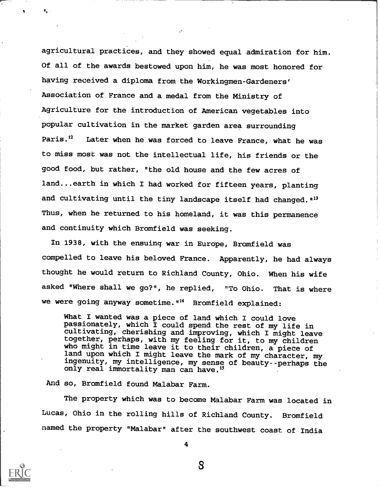agricultural practices, and they showed equal admiration for him. Of all of the awards bestowed upon him, he was most honored for having received a diploma from the Workingmen-Gardeners' Association of France and a medal from the Ministry of Agriculture for the introduction of American vegetables into popular cultivation in the market garden area surrounding Paris.<sup>12</sup> Later when he was forced to leave France, what he was to miss most was not the intellectual life, his friends or the good food, but rather, "the old house and the few acres of land...earth in which I had worked for fifteen years, planting and cultivating until the tiny landscape itself had changed. "<sup>13</sup> Thus, when he returned to his homeland, it was this permanence and continuity which Bromfield was seeking.

In 1938, with the ensuing war in Europe, Bromfield was compelled to leave his beloved France. Apparently, he had always thought he would return to Richland County, Ohio. When his wife asked "Where shall we go?", he replied, "To Ohio. That is where we were going anyway sometime."<sup>14</sup> Bromfield explained:

What I wanted was a piece of land which I could love passionately, which I could spend the rest of my life in cultivating, cherishing and improving, which I might leave together, perhaps, with my feeling for it, to my children who might in time leave it to their children, a piece of land upon which I might leave the mark of my character, my ingenuity, my intelligence, my sense of beauty--perhaps the only real immortality man can have.<sup>15</sup>

And so, Bromfield found Malabar Farm.

The property which was to become Malabar Farm was located in Lucas, Ohio in the rolling hills of Richland County. Bromfield named the property "Malabar" after the southwest coast of India



4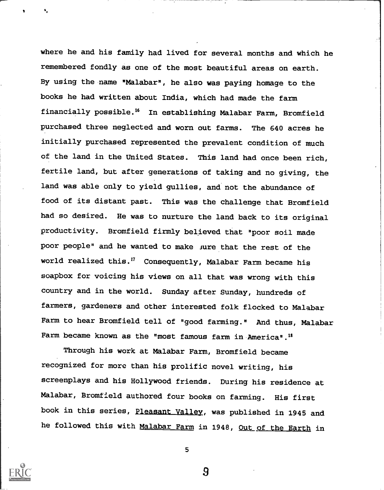where he and his family had lived for several months and which he remembered fondly as one of the most beautiful areas on earth. By using the name "Malabar", he also was paying homage to the books he had written about India, which had made the farm financially possible." In establishing Malabar Farm, Bromfield purchased three neglected and worn out farms. The 640 acres he initially purchased represented the prevalent condition of much of the land in the United States. This land had once been rich, fertile land, but after generations of taking and no giving, the land was able only to yield gullies, and not the abundance of food of its distant past. This was the challenge that Bromfield had so desired. He was to nurture the land back to its original productivity. Bromfield firmly believed that "poor soil made poor people" and he wanted to make sure that the rest of the world realized this.'? Consequently, Malabar Farm became his soapbox for voicing his views on all that was wrong with this country and in the world. Sunday after Sunday, hundreds of farmers, gardeners and other interested folk flocked to Malabar Farm to hear Bromfield tell of "good farming." And thus, Malabar Farm became known as the "most famous farm in America".<sup>18</sup>

Through his work at Malabar Farm, Bromfield became recognized for more than his prolific novel writing, his screenplays and his Hollywood friends. During his residence at Malabar, Bromfield authored four books on farming. His first book in this series, Pleasant Valley, was published in 1945 and he followed this with Malabar Farm in 1948, Out of the Earth in



5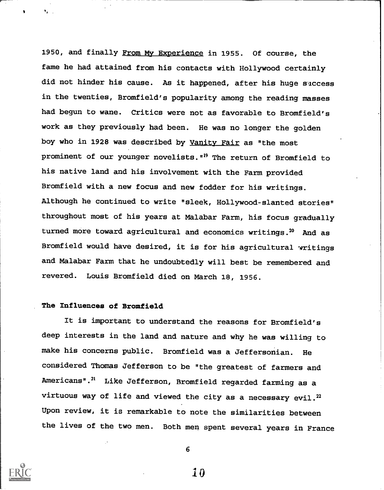1950, and finally From My Experience in 1955. Of course, the fame he had attained from his contacts with Hollywood certainly did not hinder his cause. As it happened, after his huge success in the twenties, Bromfield's popularity among the reading masses had begun to wane. Critics were not as favorable to Bromfield's work as they previously had been. He was no longer the golden boy who in 1928 was described by Vanity Fair as "the most prominent of our younger novelists."19 The return of Bromfield to his native land and his involvement with the Farm provided Bromfield with a new focus and new fodder for his writings. Although he continued to write "sleek, Hollywood-slanted stories" throughout most of his years at Malabar Farm, his focus gradually turned more toward agricultural and economics writings.<sup>20</sup> And as Bromfield would have desired, it is for his agricultural writings and Malabar Farm that he undoubtedly will best be remembered and revered. Louis Bromfield died on March 18, 1956.

### The Influences of Bromfield

It is important to understand the reasons for Bromfield's deep interests in the land and nature and why he was willing to make his concerns public. Bromfield was a Jeffersonian. He considered Thomas Jefferson to be "the greatest of farmers and Americans".<sup>21</sup> Like Jefferson, Bromfield regarded farming as a virtuous way of life and viewed the city as a necessary evil.<sup>22</sup> Upon review, it is remarkable to note the similarities between the lives of the two men. Both men spent several years in France



 $\mathbf{I}$ 

6

1 D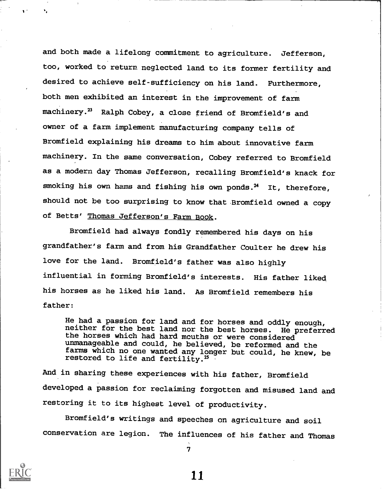and both made a lifelong commitment to agriculture. Jefferson, too, worked to return neglected land to its former fertility and desired to achieve self-sufficiency on his land. Furthermore, both men exhibited an interest in the improvement of farm machinery.<sup>23</sup> Ralph Cobey, a close friend of Bromfield's and owner of a farm implement manufacturing company tells of Bromfield explaining his dreams to him about innovative farm machinery. In the same conversation, Cobey referred to Bromfield as a modern day Thomas Jefferson, recalling Bromfield's knack for smoking his own hams and fishing his own ponds. $24$  It, therefore, should not be too surprising to know that Bromfield owned a copy of Betts' Thomas Jefferson's Farm Book.

Bromfield had always fondly remembered his days on his grandfather's farm and from his Grandfather Coulter he drew his love for the land. Bromfield's father was also highly influential in forming Bromfield's interests. His father liked his horses as he liked his land. As Bromfield remembers his father:

He had a passion for land and for horses and oddly enough, neither for the best land nor the best horses. He preferred the horses which had hard mouths or were considered unmanageable and could, he believed, be reformed and the farms which no one wanted any longer but could, he knew, be restored to life and fertility.<sup>25</sup>

And in sharing these experiences with his father, Bromfield developed a passion for reclaiming forgotten and misused land and restoring it to its highest level of productivity.

Bromfield's writings and speeches on agriculture and soil conservation are legion. The influences of his father and Thomas

7

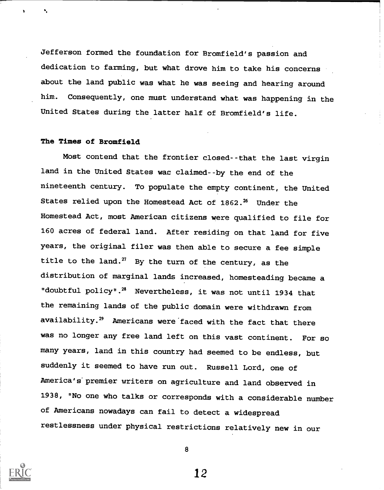Jefferson formed the foundation for Bromfield's passion and dedication to farming, but what drove him to take his concerns about the land public was what he was seeing and hearing around him. Consequently, one must understand what was happening in the United States during the latter half of Bromfield's life.

### The Times of Bromfield

Most contend that the frontier closed--that the last virgin land in the United States wac claimed--by the end of the nineteenth century. To populate the empty continent, the United States relied upon the Homestead Act of  $1862.^{26}$  Under the Homestead Act, most American citizens were qualified to file for 160 acres of federal land. After residing on that land for five years, the original filer was then able to secure a fee simple title to the land.<sup>27</sup> By the turn of the century, as the distribution of marginal lands increased, homesteading became a "doubtful policy". 28 Nevertheless, it was not until 1934 that the remaining lands of the public domain were withdrawn from availability.<sup>29</sup> Americans were faced with the fact that there was no longer any free land left on this vast continent. For so many years, land in this country had seemed to be endless, but suddenly it seemed to have run out. Russell Lord, one of America's' premier writers on agriculture and land observed in 1938, "No one who talks or corresponds with a considerable number of Americans nowadays can fail to detect a widespread restlessness under physical restrictions relatively new in our



8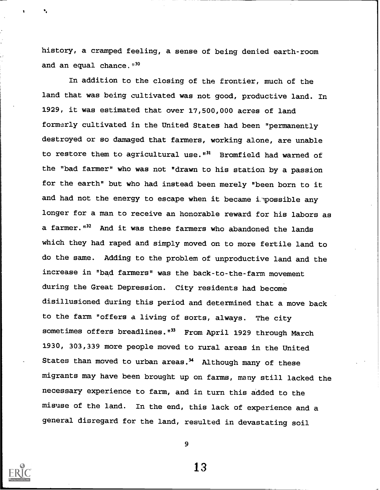history, a cramped feeling, a sense of being denied earth-room and an equal chance. $4^{30}$ 

In addition to the closing of the frontier, much of the land that was being cultivated was not good, productive land. In 1929, it was estimated that over 17,500,000 acres of land formerly cultivated in the United States had been "permanently destroyed or so damaged that farmers, working alone, are unable to restore them to agricultural use. $"$ <sup>31</sup> Bromfield had warned of the "bad farmer" who was not "drawn to his station by a passion for the earth" but who had instead been merely "been born to it and had not the energy to escape when it became impossible any longer for a man to receive an honorable reward for his labors as a farmer."<sup>32</sup> And it was these farmers who abandoned the lands which they had raped and simply moved on to more fertile land to do the same. Adding to the problem of unproductive land and the increase in "bad farmers" was the back-to-the-farm movement during the Great Depression. City residents had become disillusioned during this period and determined that a move back to the farm "offers a living of sorts, always. The city sometimes offers breadlines."<sup>33</sup> From April 1929 through March 1930, 303,339 more people moved to rural areas in the United States than moved to urban areas. $34$  Although many of these migrants may have been brought up on farms, many still lacked the necessary experience to farm, and in turn this added to the misuse of the land. In the end, this lack of experience and <sup>a</sup> general disregard for the land, resulted in devastating soil



9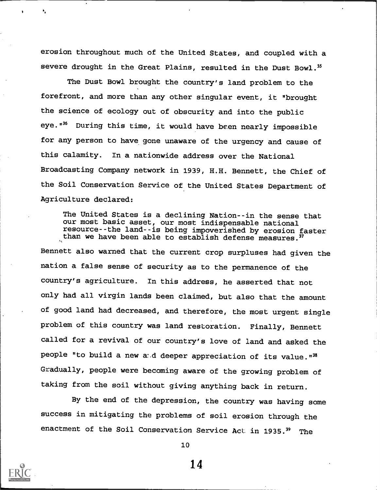erosion throughout much of the United States, and coupled with a severe drought in the Great Plains, resulted in the Dust Bowl.<sup>35</sup>

The Dust Bowl brought the country's land problem to the forefront, and more than any other singular event, it "brought the science of ecology out of obscurity and into the public eye. $136$  During this time, it would have been nearly impossible for any person to have gone unaware of the urgency and cause of this calamity. In a nationwide address over the National Broadcasting Company network in 1939, H.H. Bennett, the Chief of the Soil Conservation Service of the United States Department of Agriculture declared:

The United States is a declining Nation--in the sense that our most basic asset, our most indispensable national resource--the land--is being impoverished by erosion faster than we have been able to establish defense measures.  $37$ Bennett also warned that the current crop surpluses had given the nation a false sense of security as to the permanence of the country's agriculture. In this address, he asserted that not only had all virgin lands been claimed, but also that the amount of good land had decreased, and therefore, the most urgent single problem of this country was land restoration. Finally, Bennett called for a revival of our country's love of land and asked the people "to build a new and deeper appreciation of its value." $38$ Gradually, people were becoming aware of the growing problem of taking from the soil without giving anything back in return.

By the end of the depression, the country was having some success in mitigating the problems of soil erosion through the enactment of the Soil Conservation Service Act in 1935.<sup>39</sup> The



10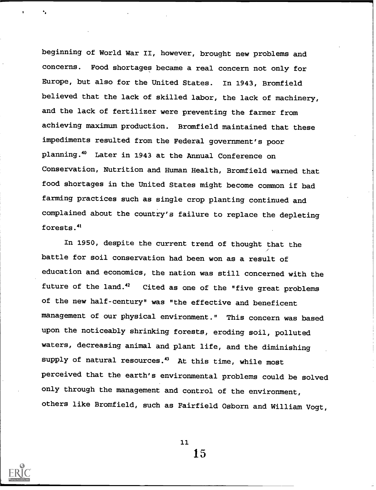beginning of World War II, however, brought new problems and concerns. Food shortages became a real concern not only for Europe, but also for the United States. In 1943, Bromfield believed that the lack of skilled labor, the lack of machinery, and the lack of fertilizer were preventing the farmer from achieving maximum production. Bromfield maintained that these impediments resulted from the Federal government's poor planning.40 Later in 1943 at the Annual Conference on Conservation, Nutrition and Human Health, Bromfield warned that food shortages in the United States might become common if bad farming practices such as single crop planting continued and complained about the country's failure to replace the depleting forests .41

In 1950, despite the current trend of thought that the battle for soil conservation had been won as a result of education and economics, the nation was still concerned with the future of the land. $42$  Cited as one of the "five great problems of the new half-century" was "the effective and beneficent management of our physical environment." This concern was based upon the noticeably shrinking forests, eroding soil, polluted waters, decreasing animal and plant life, and the diminishing supply of natural resources.<sup>43</sup> At this time, while most perceived that the earth's environmental problems could be solved only through the management and control of the environment, others like Bromfield, such as Fairfield Osborn and William Vogt,



11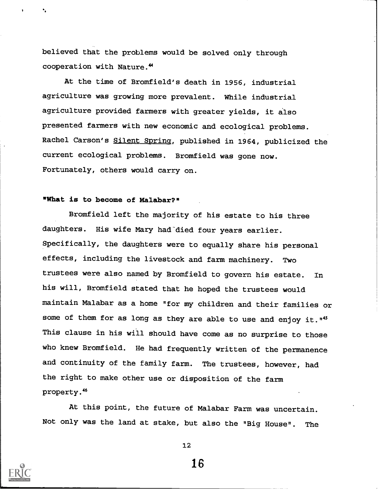believed that the problems would be solved only through cooperation with Nature.<sup>44</sup>

At the time of Bromfield's death in 1956, industrial agriculture was growing more prevalent. While industrial agriculture provided farmers with greater yields, it also presented farmers with new economic and ecological problems. Rachel Carson's Silent Spring, published in 1964, publicized the current ecological problems. Bromfield was gone now. Fortunately, others would carry on.

### "What is to become of Malabar?"

Bromfield left the majority of his estate to his three daughters. His wife Mary had died four years earlier. Specifically, the daughters were to equally share his personal effects, including the livestock and farm machinery. Two trustees were also named by Bromfield to govern his estate. In his will, Bromfield stated that he hoped the trustees would maintain Malabar as a home "for my children and their families or some of them for as long as they are able to use and enjoy it."<sup>45</sup> This clause in his will should have come as no surprise to those who knew Bromfield. He had frequently written of the permanence and continuity of the family farm. The trustees, however, had the right to make other use or disposition of the farm property.<sup>46</sup>

At this point, the future of Malabar Farm was uncertain. Not only was the land at stake, but also the "Big House". The



12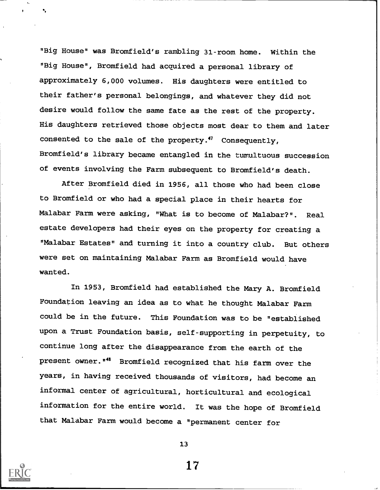"Big House" was Bromfield's rambling 31-room home. Within the "Big House", Bromfield had acquired a personal library of approximately 6,000 volumes. His daughters were entitled to their father's personal belongings, and whatever they did not desire would follow the same fate as the rest of the property. His daughters retrieved those objects most dear to them and later consented to the sale of the property.47 Consequently, Bromfield's library became entangled in the tumultuous succession of events involving the Farm subsequent to Bromfield's death.

After Bromfield died in 1956, all those who had been close to Bromfield or who had a special place in their hearts for Malabar Farm were asking, "What is to become of Malabar?". Real estate developers had their eyes on the property for creating a "Malabar Estates" and turning it into a country club. But others were set on maintaining Malabar Farm as Bromfield would have wanted.

In 1953, Bromfield had established the Mary A. Bromfield Foundation leaving an idea as to what he thought Malabar Farm could be in the future. This Foundation was to be "established upon a Trust Foundation basis, self-supporting in perpetuity, to continue long after the disappearance from the earth of the present owner. "<sup>48</sup> Bromfield recognized that his farm over the years, in having received thousands of visitors, had become an informal center of agricultural, horticultural and ecological information for the entire world. It was the hope of Bromfield that Malabar Farm would become a "permanent center for

13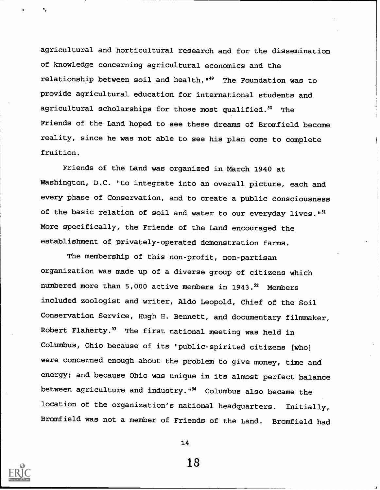agricultural and horticultural research and for the dissemination of knowledge concerning agricultural economics and the relationship between soil and health."49 The Foundation was to provide agricultural education for international students and agricultural scholarships for those most qualified.<sup>50</sup> The Friends of the Land hoped to see these dreams of Bromfield become reality, since he was not able to see his plan come to complete fruition.

Friends of the Land was organized in March 1940 at Washington, D.C. "to integrate into an overall picture, each and every phase of Conservation, and to create a public consciousness of the basic relation of soil and water to our everyday lives."<sup>51</sup> More specifically, the Friends of the Land encouraged the establishment of privately-operated demonstration farms.

The membership of this non-profit, non-partisan organization was made up of a diverse group of citizens which numbered more than  $5,000$  active members in  $1943.^{52}$  Members included zoologist and writer, Aldo Leopold, Chief of the Soil Conservation Service, Hugh H. Bennett, and documentary filmmaker, Robert Flaherty.<sup>53</sup> The first national meeting was held in Columbus, Ohio because of its "public-spirited citizens (who] were concerned enough about the problem to give money, time and energy; and because Ohio was unique in its almost perfect balance between agriculture and industry."<sup>54</sup> Columbus also became the location of the organization's national headquarters. Initially, Bromfield was not a member of Friends of the Land. Bromfield had



14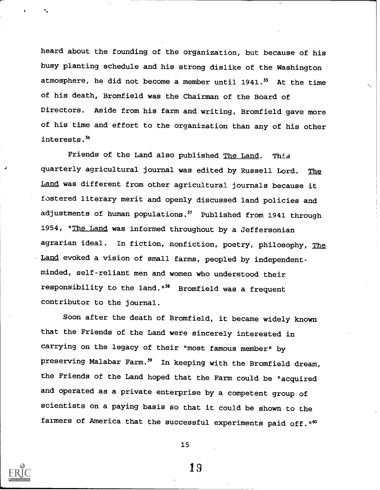heard about the founding of the organization, but because of his busy planting schedule and his strong dislike of the Washington atmosphere, he did not become a member until 1941.<sup>55</sup> At the time of his death, Bromfield was the Chairman of the Board of Directors. Aside from his farm and writing, Bromfield gave more of his time and effort to the organization than any of his other interests.<sup>56</sup>

Friends of the Land also published The Land. This quarterly agricultural journal was edited by Russell Lord. The Land was different from other agricultural journals because it fostered literary merit and openly discussed land policies and adjustments of human populations.<sup>57</sup> Published from 1941 through 1954, "The Land was informed throughout by a Jeffersonian agrarian ideal. In fiction, nonfiction, poetry, philosophy, The Land evoked a vision of small farms, peopled by independentminded, self-reliant men and women who understood their responsibility to the land."<sup>38</sup> Bromfield was a frequent contributor to the journal.

Soon after the death of Bromfield, it became widely known that the Friends of the Land were sincerely interested in carrying on the legacy of their "most famous member" by preserving Malabar Farm.<sup>59</sup> In keeping with the Bromfield dream, the Friends of the Land hoped that the Farm could be "acquired and operated as a private enterprise by a competent group of scientists on a paying basis so that it could be shown to the farmers of America that the successful experiments paid off."<sup>60</sup>



15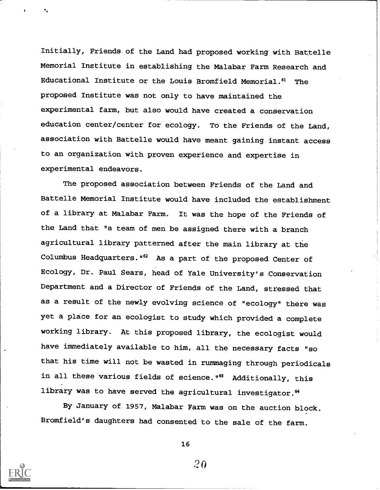Initially, Friends of the Land had proposed working with Battelle Memorial Institute in establishing the Malabar Farm Research and Educational Institute or the Louis Bromfield Memorial.<sup>61</sup> The proposed Institute was not only to have maintained the experimental farm, but also would have created a conservation education center/center for ecology. To the Friends of the Land, association with Battelle would have meant gaining instant access to an organization with proven experience and expertise in experimental endeavors.

The proposed association between Friends of the Land and Battelle Memorial Institute would have included the establishment of a library at Malabar Farm. It was the hope of the Friends of the Land that "a team of men be assigned there with a branch agricultural library patterned after the main library at the Columbus Headquarters. "<sup>62</sup> As a part of the proposed Center of Ecology, Dr. Paul Sears, head of Yale University's Conservation Department and a Director of Friends of the Land, stressed that as a result of the newly evolving science of "ecology" there was yet a place for an ecologist to study which provided a complete working library. At this proposed library, the ecologist would have immediately available to him, all the necessary facts "so that his time will not be wasted in rummaging through periodicals in all these various fields of science."<sup>63</sup> Additionally, this library was to have served the agricultural investigator.<sup>64</sup>

By January of 1957, Malabar Farm was on the auction block. Bromfield's daughters had consented to the sale of the farm.



16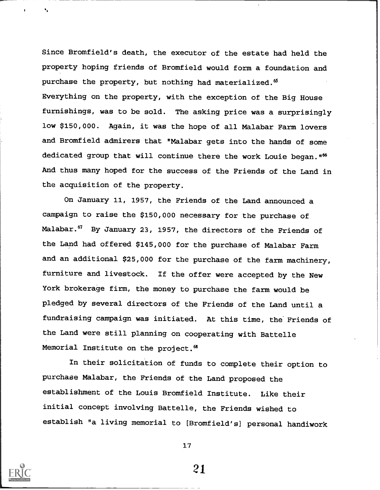Since Bromfield's death, the executor of the estate had held the property hoping friends of Bromfield would form a foundation and purchase the property, but nothing had materialized.<sup>65</sup> Everything on the property, with the exception of the Big House furnishings, was to be sold. The asking price was a surprisingly low \$150,000. Again, it was the hope of all Malabar Farm lovers and Bromfield admirers that "Malabar gets into the hands of some dedicated group that will continue there the work Louie began."<sup>66</sup> And thus many hoped for the success of the Friends of the Land in the acquisition of the property.

On January 11, 1957, the Friends of the Land announced a campaign to raise the \$150,000 necessary for the purchase of Malabar.<sup>67</sup> By January 23, 1957, the directors of the Friends of the Land had offered \$145,000 for the purchase of Malabar Farm and an additional \$25,000 for the purchase of the farm machinery, furniture and livestock. If the offer were accepted by the New York brokerage firm, the money to purchase the farm would be pledged by several directors of the Friends of the Land until a fundraising campaign was initiated. At this time, the' Friends of the Land were still planning on cooperating with Battelle Memorial Institute on the project.<sup>68</sup>

In their solicitation of funds to complete their option to purchase Malabar, the Friends of the Land proposed the establishment of the Louis Bromfield Institute. Like their initial concept involving Battelle, the Friends wished to establish "a living memorial to [ Bromfield's] personal handiwork



17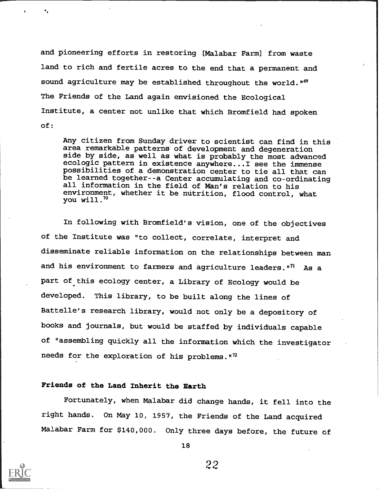and pioneering efforts in restoring [Malabar Farm] from waste land to rich and fertile acres to the end that a permanent and sound agriculture may be established throughout the world."<sup>69</sup> The Friends of the Land again envisioned the Ecological Institute, a center not unlike that which Bromfield had spoken of:

Any citizen from Sunday driver to scientist can find in this area remarkable patterns of development and degeneration side by side, as well as what is probably the most advanced ecologic pattern in existence anywhere...I see the immense possibilities of a demonstration center to tie all that can be learned together--a Center accumulating and co-ordinating all information in the field of Man's relation to his environment, whether it be nutrition, flood control, what you will."

In following with Bromfield's vision, one of the objectives of the Institute was "to collect, correlate, interpret and disseminate reliable information on the relationships between man and his environment to farmers and agriculture leaders."<sup>71</sup> As a part of this ecology center, a Library of Ecology would be developed. This library, to be built along the lines of Battelle's research library, would not only be a depository of books and journals, but would be staffed by individuals capable of "assembling quickly all the information which the investigator needs for the exploration of his problems."<sup>72</sup>

## Friends of the Land Inherit the Earth

Fortunately, when Malabar did change hands, it fell into the right hands. On May 10, 1957, the Friends of the Land acquired Malabar Farm for \$140,000. Only three days before, the future of



18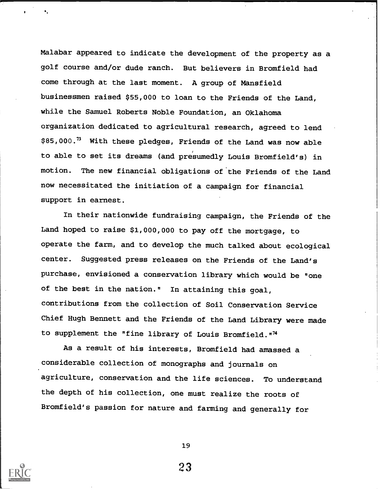Malabar appeared to indicate the development of the property as a golf course and/or dude ranch. But believers in Bromfield had come through at the last moment. A group of Mansfield businessmen raised \$55,000 to loan to the Friends of the Land, while the Samuel Roberts Noble Foundation, an Oklahoma organization dedicated to agricultural research, agreed to lend \$85,000.73 With these pledges, Friends of the Land was now able to able to set its dreams (and presumedly Louis Bromfield's) in motion. The new financial obligations of the Friends of the Land now necessitated the initiation of a campaign for financial support in earnest.

In their nationwide fundraising campaign, the Friends of the Land hoped to raise \$1,000,000 to pay off the mortgage, to operate the farm, and to develop the much talked about ecological center. Suggested press releases on the Friends of the Land's purchase, envisioned a conservation library which would be "one of the best in the nation." In attaining this goal, contributions from the collection of Soil Conservation Service Chief Hugh Bennett and the Friends of the Land Library were made to supplement the "fine library of Louis Bromfield."74

As a result of his interests, Bromfield had amassed a considerable collection of monographs and journals on agriculture, conservation and the life sciences. To understand the depth of his collection, one must realize the roots of Bromfield's passion for nature and farming and generally for



19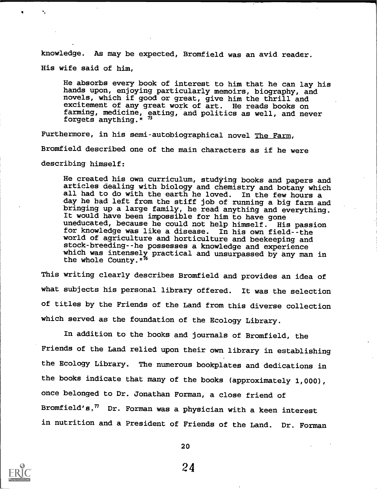knowledge. As may be expected, Bromfield was an avid reader. His wife said of him,

He absorbs every book of interest to him that he can lay his hands upon, enjoying particularly memoirs, biography, and novels, which if good or great, give him the thrill and excitement of any great work of art. He reads books on farming, medicine, eating, and politics as well, and never forgets anything." "

Furthermore, in his semi-autobiographical novel The Farm, Bromfield described one of the main characters as if he were describing himself:

He created his own curriculum, studying books and papers and articles dealing with biology and chemistry and botany which all had to do with the earth he loved. In the few hours a day he had left from the stiff job of running a big farm and bringing up a large family, he read anything and everything. It would have been impossible for him to have gone uneducated, because he could not help himself. His passion for knowledge was like a disease. In his own field--the world of agriculture and horticulture and beekeeping and stock-breeding--he possesses a knowledge and experience which was intensely practical and unsurpassed by any man in the whole County."<sup>16</sup>

This writing clearly describes Bromfield and provides an idea of what subjects his personal library offered. It was the selection of titles by the Friends of the Land from this diverse collection which served as the foundation of the Ecology Library.

In addition to the books and journals of Bromfield, the Friends of the Land relied upon their own library in establishing the Ecology Library. The numerous bookplates and dedications in the books indicate that many of the books (approximately 1,000), once belonged to Dr. Jonathan Forman, a close friend of Bromfield's.<sup>77</sup> Dr. Forman was a physician with a keen interest in nutrition and a President of Friends of the Land. Dr. Forman



20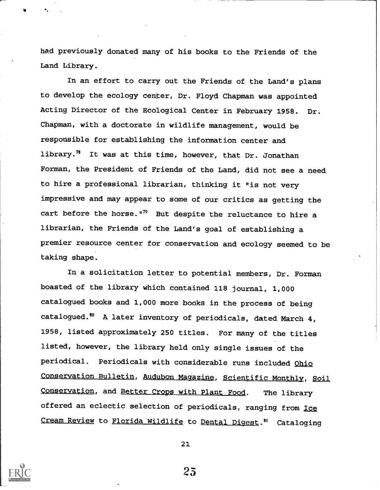had previously donated many of his books to the Friends of the Land Library.

In an effort to carry out the Friends of the Land's plans to develop the ecology center, Dr. Floyd Chapman was appointed Acting Director of the Ecological Center in February 1958. Dr. Chapman, with a doctorate in wildlife management, would be responsible for establishing the information center and library.<sup>78</sup> It was at this time, however, that Dr. Jonathan Forman, the President of Friends of the Land, did not see a need to hire a professional librarian, thinking it "is not very impressive and may appear to some of our critics as getting the cart before the horse."<sup>79</sup> But despite the reluctance to hire a librarian, the Friends of the Land's goal of establishing a premier resource center for conservation and ecology seemed to be taking shape.

In a solicitation letter to potential members, Dr. Forman boasted of the library which contained 118 journal, 1,000 catalogued books and 1,000 more books in the process of being catalogued.8° A later inventory of periodicals, dated March 4, 1958, listed approximately 250 titles. For many of the titles listed, however, the library held only single issues of the periodical. Periodicals with considerable runs included Ohio Conservation Bulletin, Audubon Magazine, Scientific Monthly, Soil Conservation, and Better Crops with Plant Food. The library offered an eclectic selection of periodicals, ranging from Ice Cream Review to Florida Wildlife to Dental Digest.<sup>81</sup> Cataloging

21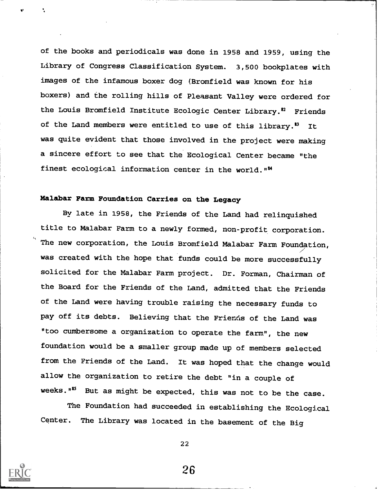of the books and periodicals was done in 1958 and 1959, using the Library of Congress Classification System. 3,500 bookplates with images of the infamous boxer dog (Bromfield was known for his boxers) and the rolling hills of Pleasant Valley were ordered for the Louis Bromfield Institute Ecologic Center Library.<sup>\$2</sup> Friends of the Land members were entitled to use of this library.<sup>83</sup> It was quite evident that those involved in the project were making a sincere effort to see that the Ecological Center became "the finest ecological information center in the world. ""

# Malabar Farm Foundation Carries on the Legacy

By late in 1958, the Friends of the Land had relinquished title to Malabar Farm to a newly formed, non-profit corporation. The new corporation, the Louis Bromfield Malabar Farm Foundation, was created with the hope that funds could be more successfully solicited for the Malabar Farm project. Dr. Forman, Chairman of the Board for the Friends of the Land, admitted that the Friends of the Land were having trouble raising the necessary funds to pay off its debts. Believing that the Friends of the Land was "too cumbersome a organization to operate the farm", the new foundation would be a smaller group made up of members selected from the Friends of the Land. It was hoped that the change would allow the organization to retire the debt "in a couple of weeks."<sup>55</sup> But as might be expected, this was not to be the case.

The Foundation had succeeded in establishing the Ecological Center. The Library was located in the basement of the Big

22

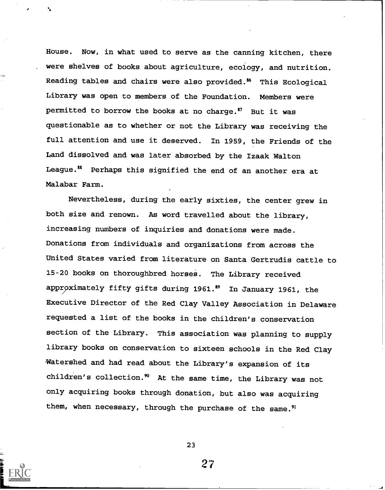House. Now, in what used to serve as the canning kitchen, there were shelves of books about agriculture, ecology, and nutrition. Reading tables and chairs were also provided.<sup>86</sup> This Ecological Library was open to members of the Foundation. Members were permitted to borrow the books at no charge." But it was questionable as to whether or not the Library was receiving the full attention and use it deserved. In 1959, the Friends of the Land dissolved and was later absorbed by the Izaak Walton League." Perhaps this signified the end of an another era at Malabar Farm.

Nevertheless, during the early sixties, the center grew in both size and renown. As word travelled about the library, increasing numbers of inquiries and donations were made. Donations from individuals and organizations from across the United States varied from literature on Santa Gertrudis cattle to 15-20 books on thoroughbred horses. The Library received approximately fifty gifts during 1961." In January 1961, the Executive Director of the Red Clay Valley Association in Delaware requested a list of the books in the children's conservation section of the Library. This association was planning to supply library books on conservation to sixteen schools in the Red Clay -Watershed and had read about the Library's expansion of its children's collection. $90$  At the same time, the Library was not only acquiring books through donation, but also was acquiring them, when necessary, through the purchase of the same.<sup>91</sup>



23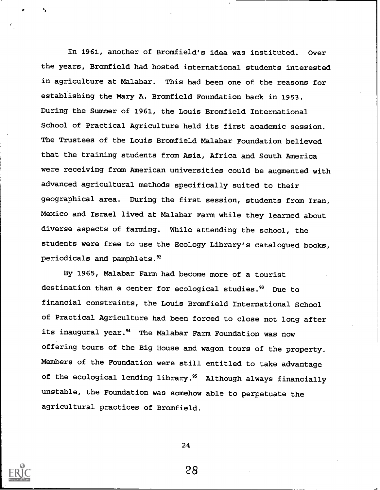In 1961, another of Bromfield's idea was instituted. Over the years, Bromfield had hosted international students interested in agriculture at Malabar. This had been one of the reasons for establishing the Mary A. Bromfield Foundation back in 1953. During the Summer of 1961, the Louis Bromfield International School of Practical Agriculture held its first academic session. The Trustees of the Louis Bromfield Malabar Foundation believed that the training students from Asia, Africa and South America were receiving from American universities could be augmented with advanced agricultural methods specifically suited to their geographical area. During the first session, students from Iran, Mexico and Israel lived at Malabar Farm while they learned about diverse aspects of farming. While attending the school, the students were free to use the Ecology Library's catalogued books, periodicals and pamphlets."

By 1965, Malabar Farm had become more of a tourist destination than a center for ecological studies.<sup>93</sup> Due to financial constraints, the Louis Bromfield International School of Practical Agriculture had been forced to close not long after its inaugural year.<sup>94</sup> The Malabar Farm Foundation was now offering tours of the Big House and wagon tours of the property. Members of the Foundation were still entitled to take advantage of the ecological lending library.<sup>95</sup> Although always financially unstable, the Foundation was somehow able to perpetuate the agricultural practices of Bromfield.

24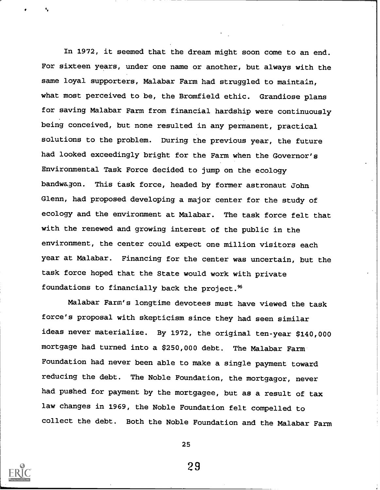In 1972, it seemed that the dream might soon come to an end. For sixteen years, under one name or another, but always with the same loyal supporters, Malabar Farm had struggled to maintain, what most perceived to be, the Bromfield ethic. Grandiose plans for saving Malabar Farm from financial hardship were continuously being conceived, but none resulted in any permanent, practical solutions to the problem. During the previous year, the future had looked exceedingly bright for the Farm when the Governor's Environmental Task Force decided to jump on the ecology bandwagon. This task force, headed by former astronaut John Glenn, had proposed developing a major center for the study of ecology and the environment at Malabar. The task force felt that with the renewed and growing interest of the public in the environment, the center could expect one million visitors each year at Malabar. Financing for the center was uncertain, but the task force hoped that the State would work with private foundations to financially back the project.<sup>%</sup>

Malabar Farm's longtime devotees must have viewed the task force's proposal with skepticism since they had seen similar ideas never materialize. By 1972, the original ten-year \$140,000 mortgage had turned into a \$250,000 debt. The Malabar Farm Foundation had never been able to make a single payment toward reducing the debt. The Noble Foundation, the mortgagor, never had pushed for payment by the mortgagee, but as a result of tax law changes in 1969, the Noble Foundation felt compelled to collect the debt. Both the Noble Foundation and the Malabar Farm



25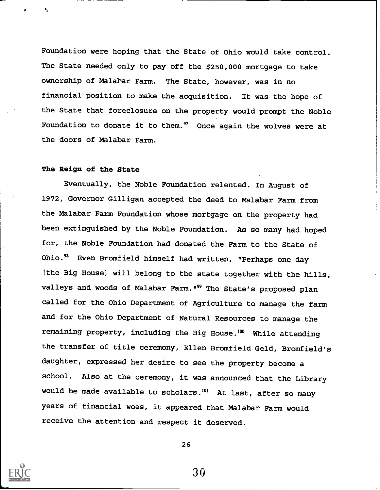Foundation were hoping that the State of Ohio would take control. The State needed only to pay off the \$250,000 mortgage to take ownership of Malabar Farm. The State, however, was in no financial position to make the acquisition. It was the hope of the State that foreclosure on the property would prompt the Noble Foundation to donate it to them. $97$  Once again the wolves were at the doors of Malabar Farm.

### The Reign of the State

Eventually, the Noble Foundation relented. In August of 1972, Governor Gilligan accepted the deed to Malabar Farm from the Malabar Farm Foundation whose mortgage on the property had been extinguished by the Noble Foundation. As so many had hoped for, the Noble Foundation had donated the Farm to the State of Ohio.<sup>98</sup> Even Bromfield himself had written, "Perhaps one day (the Big House] will belong to the state together with the hills, valleys and woods of Malabar Farm."<sup>99</sup> The State's proposed plan called for the Ohio Department of Agriculture to manage the farm and for the Ohio Department of Natural Resources to manage the remaining property, including the Big House. $100$  While attending the transfer of title ceremony, Ellen Bromfield Geld, Bromfield's daughter, expressed her desire to see the property become a school. Also at the ceremony, it was announced that the Library would be made available to scholars.<sup>101</sup> At last, after so many years of financial woes, it appeared that Malabar Farm would receive the attention and respect it deserved.

26

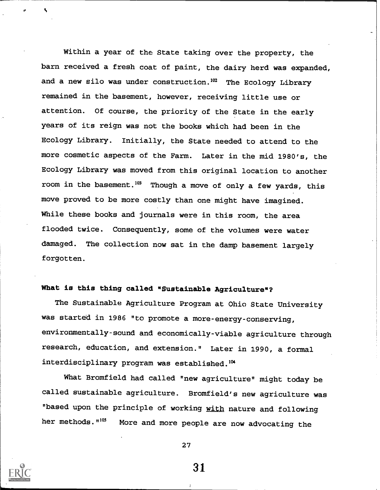Within a year of the State taking over the property, the barn received a fresh coat of paint, the dairy herd was expanded, and a new silo was under construction.<sup>102</sup> The Ecology Library remained in the basement, however, receiving little use or attention. Of course, the priority of the State in the early years of its reign was not the books which had been in the Ecology Library. Initially, the State needed to attend to the more cosmetic aspects of the Farm. Later in the mid 1980's, the Ecology Library was moved from this original location to another room in the basement.<sup>103</sup> Though a move of only a few yards, this move proved to be more costly than one might have imagined. While these books and journals were in this room, the area flooded twice. Consequently, some of the volumes were water damaged. The collection now sat in the damp basement largely forgotten.

# What is this thing called "Sustainable Agriculture"?

The Sustainable Agriculture Program at Ohio State University was started in 1986 "to promote a more-energy-conserving, environmentally-sound and economically-viable agriculture through research, education, and extension." Later in 1990, a formal interdisciplinary program was established.<sup>104</sup>

What Bromfield had called "new agriculture" might today be called sustainable agriculture. Bromfield's new agriculture was "based upon the principle of working with nature and following her methods. "<sup>105</sup> More and more people are now advocating the



27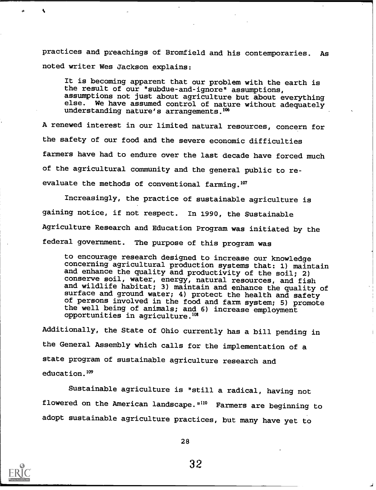practices and preachings of Bromfield and his contemporaries. As noted writer Wes Jackson explains:

It is becoming apparent that our problem with the earth is the result of our "subdue-and-ignore" assumptions, assumptions not just about agriculture but about everything else. We have assumed control of nature without adequately understanding nature's arrangements.106

A renewed interest in our limited natural resources, concern for the safety of our food and the severe economic difficulties farmers have had to endure over the last decade have forced much of the agricultural community and the general public to reevaluate the methods of conventional farming. $107$ 

Increasingly, the practice of sustainable agriculture is gaining notice, if not respect. In 1990, the Sustainable Agriculture Research and Education Program was initiated by the federal government. The purpose of this program was

to encourage research designed to increase our knowledge concerning agricultural production systems that: 1) maintain and enhance the quality and productivity of the soil; 2) conserve soil, water, energy, natural resources, and fish and wildlife habitat; 3) maintain and enhance the quality of surface and ground water; 4) protect the health and safety of persons involved in the food and farm system; 5) promote the well being of animals; and 6) increase employment opportunities in agriculture.<sup>108</sup>

Additionally, the State of Ohio currently has a bill pending in the General Assembly which calls for the implementation of a state program of sustainable agriculture research and education.<sup>109</sup>

Sustainable agriculture is "still a radical, having not flowered on the American landscape."<sup>110</sup> Farmers are beginning to adopt sustainable agriculture practices, but many have yet to



28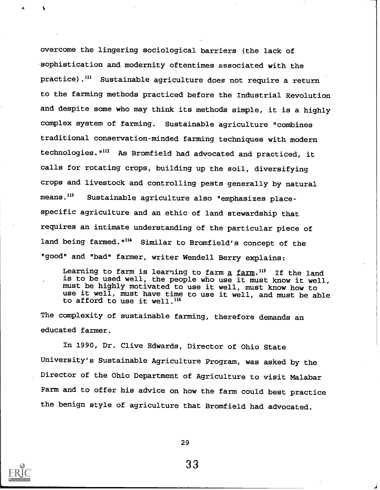overcome the lingering sociological barriers (the lack of sophistication and modernity oftentimes associated with the practice).<sup>111</sup> Sustainable agriculture does not require a return to the farming methods practiced before the Industrial Revolution and despite some who may think its methods simple, it is a highly complex system of farming. Sustainable agriculture "combines traditional conservation-minded farming techniques with modern technologies."112 As Bromfield had advocated and practiced, it calls for rotating crops, building up the soil, diversifying crops and livestock and controlling pests generally by natural means.<sup>113</sup> Sustainable agriculture also "emphasizes placespecific agriculture and an ethic of land stewardship that requires an intimate understanding of the particular piece of land being farmed.<sup>"114</sup> Similar to Bromfield's concept of the "good" and "bad" farmer, writer Wendell Berry explains:

Learning to farm is learning to farm  $\frac{1}{2}$  farm.<sup>115</sup> If the land is to be used well, the people who use it must know it well, must be highly motivated to use it well, must know how to use it well, must have time to use it well, and must be able to afford to use it well.<sup>116</sup>

The complexity of sustainable farming, therefore demands an educated farmer.

In 1990, Dr. Clive Edwards, Director of Ohio State University's Sustainable Agriculture Program, was asked by the Director of the Ohio Department of Agriculture to visit Malabar Farm and to offer his advice on how the farm could best practice the benign style of agriculture that Bromfield had advocated.

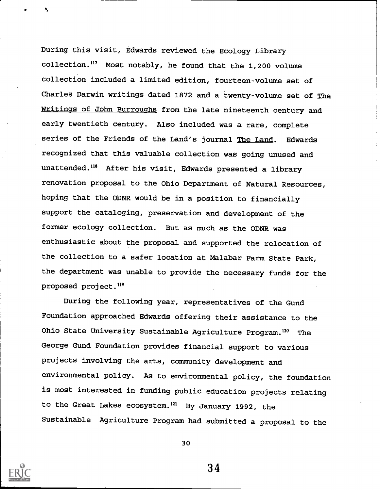During this visit, Edwards reviewed the Ecology Library collection.117 Most notably, he found that the 1,200 volume collection included a limited edition, fourteen-volume set of Charles Darwin writings dated 1872 and a twenty-volume set of The Writings of John Burroughs from the late nineteenth century and early twentieth century. Also included was a rare, complete series of the Friends of the Land's journal The Land. Edwards recognized that this valuable collection was going unused and unattended.<sup>118</sup> After his visit, Edwards presented a library renovation proposal to the Ohio Department of Natural Resources, hoping that the ODNR would be in a position to financially support the cataloging, preservation and development of the former ecology collection. But as much as the ODNR was enthusiastic about the proposal and supported the relocation of the collection to a safer location at Malabar Farm State Park, the department was unable to provide the necessary funds for the proposed project.<sup>119</sup>

During the following year, representatives of the Gund Foundation approached Edwards offering their assistance to the Ohio State University Sustainable Agriculture Program.<sup>120</sup> The George Gund Foundation provides financial support to various projects involving the arts, community development and environmental policy. As to environmental policy, the foundation is most interested in funding public education projects relating to the Great Lakes ecosystem.<sup>121</sup> By January 1992, the Sustainable Agriculture Program had submitted a proposal to the



30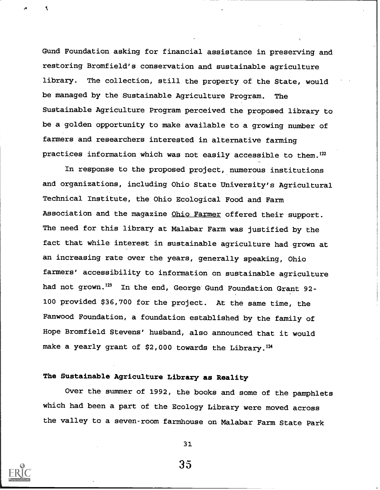Gund Foundation asking for financial assistance in preserving and restoring Bromfield's conservation and sustainable agriculture library. The collection, still the property of the State, would be managed by the Sustainable Agriculture Program. The Sustainable Agriculture Program perceived the proposed library to be a golden opportunity to make available to a growing number of farmers and researchers interested in alternative farming practices information which was not easily accessible to them.<sup>122</sup>

In response to the proposed project, numerous institutions and organizations, including Ohio State University's Agricultural Technical Institute, the Ohio Ecological Food and Farm Association and the magazine Ohio Farmer offered their support. The need for this library at Malabar Farm was justified by the fact that while interest in sustainable agriculture had grown at an increasing rate over the years, generally speaking, Ohio farmers' accessibility to information on sustainable agriculture had not grown.<sup>123</sup> In the end, George Gund Foundation Grant 92-100 provided \$36,700 for the project. At the same time, the Fanwood Foundation, a foundation established by the family of Hope Bromfield Stevens' husband, also announced that it would make a yearly grant of \$2,000 towards the Library.<sup>124</sup>

## The Sustainable Agriculture Library as Reality

Over the summer of 1992, the books and some of the pamphlets which had been a part of the Ecology Library were moved across the valley to a seven-room farmhouse on Malabar Farm State Park



it is a series of the series of the series of the series of the series of the series of the series of the series of the series of the series of the series of the series of the series of the series of the series of the seri

31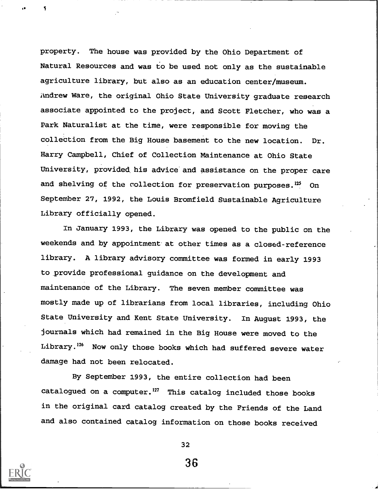property. The house was provided by the Ohio Department of Natural Resources and was to be used not only as the sustainable agriculture library, but also as an education center/museum. Andrew Ware, the original Ohio State University graduate research associate appointed to the project, and Scott Fletcher, who was a Park Naturalist at the time, were responsible for moving the collection from the Big House basement to the new location. Dr. Harry Campbell, Chief of Collection Maintenance at Ohio State University, provided his advice and assistance on the proper care and shelving of the collection for preservation purposes.<sup>125</sup> On September 27, 1992, the Louis Bromfield Sustainable Agriculture Library officially opened.

In January 1993, the Library was opened to the public on the weekends and by appointment at other times as a closed-reference library. A library advisory committee was formed in early 1993 to provide professional guidance on the development and maintenance of the Library. The seven member committee was mostly made up of librarians from local libraries, including Ohio State University and Kent State University. In August 1993, the journals which had remained in the Big House were moved to the Library.<sup>126</sup> Now only those books which had suffered severe water damage had not been relocated.

By September 1993, the entire collection had been catalogued on a computer.<sup>127</sup> This catalog included those books in the original card catalog created by the Friends of the Land and also contained catalog information on those books received



32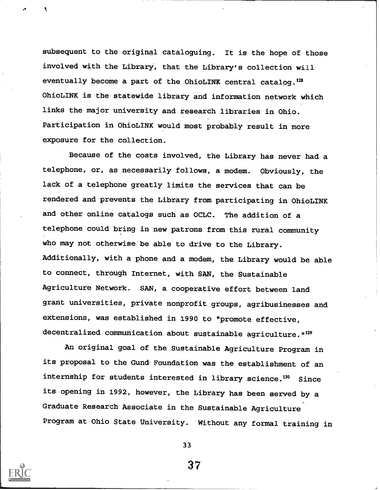subsequent to the original cataloguing. It is the hope of those involved with the Library, that the Library's collection will eventually become a part of the OhioLINK central catalog.128 OhioLINK is the statewide library and information network which links the major university and research libraries in Ohio. Participation in OhioLINK would most probably result in more exposure for the collection.

Because of the costs involved, the Library has never had a telephone, or, as necessarily follows, a modem. Obviously, the lack of a telephone greatly limits the services that can be rendered and prevents the Library from participating in OhioLINK and other online catalogs such as OCLC. The addition of a telephone could bring in new patrons from this rural community who may not otherwise be able to drive to the Library. Additionally, with a phone and a modem, the Library would be able to connect, through Internet, with SAN, the Sustainable Agriculture Network. SAN, a cooperative effort between land grant universities, private nonprofit groups, agribusinesses and extensions, was established in 1990 to "promote effective, decentralized communication about sustainable agriculture.  $n^{129}$ 

An original goal of the Sustainable Agriculture Program in its proposal to the Gund- Foundation was the establishment of an internship for students interested in library science.<sup>130</sup> Since its opening in 1992, however, the Library has been served by a Graduate Research Associate in the Sustainable Agriculture Program at Ohio State University. Without any formal training in



33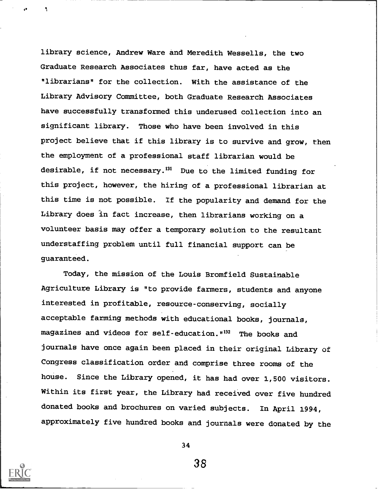library science, Andrew Ware and Meredith Wessells, the two Graduate Research Associates thus far, have acted as the "librarians" for the collection. With the assistance of the Library Advisory Committee, both Graduate Research Associates have successfully transformed this underused collection into an significant library. Those who have been involved in this project believe that if this library is to survive and grow, then the employment of a professional staff librarian would be desirable, if not necessary.<sup>131</sup> Due to the limited funding for this project, however, the hiring of a professional librarian at this time is not possible. If the popularity and demand for the Library does in fact increase, then librarians working on a volunteer basis may offer a temporary solution to the resultant understaffing problem until full financial support can be guaranteed.

Today, the mission of the Louis Bromfield Sustainable Agriculture Library is "to provide farmers, students and anyone interested in profitable, resource-conserving, socially acceptable farming methods with educational books, journals, magazines and videos for self-education.  $n^{132}$  The books and journals have once again been placed in their original Library of Congress classification order and comprise three rooms of the house. Since the Library opened, it has had over 1,500 visitors. Within its first year, the Library had received over five hundred donated books and brochures on varied subjects. In April 1994, approximately five hundred books and journals were donated by the



34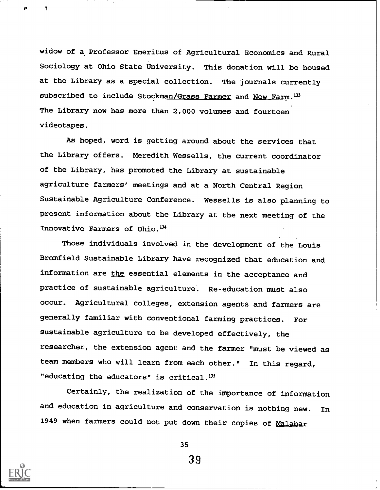widow of a Professor Emeritus of Agricultural Economics and Rural Sociology at Ohio State University. This donation will be housed at the Library as a special collection. The journals currently subscribed to include Stockman/Grass Farmer and New Farm.<sup>133</sup> The Library now has more than 2,000 volumes and fourteen videotapes.

As hoped, word is getting around about the services that the Library offers. Meredith Wessells, the current coordinator of the Library, has promoted the Library at sustainable agriculture farmers' meetings and at a North Central Region Sustainable Agriculture Conference. Wessells is also planning to present information about the Library at the next meeting of the Innovative Farmers of Ohio.<sup>134</sup>

Those individuals involved in the development of the Louis Bromfield Sustainable Library have recognized that education and information are the essential elements in the acceptance and practice of sustainable agriculture. Re-education must also occur. Agricultural colleges, extension agents and farmers are generally familiar with conventional farming practices. For sustainable agriculture to be developed effectively, the researcher, the extension agent and the farmer "must be viewed as team members who will learn from each other." In this regard, "educating the educators" is critical.<sup>135</sup>

Certainly, the realization of the importance of information and education in agriculture and conservation is nothing new. In 1949 when farmers could not put down their copies of Malabar



N

35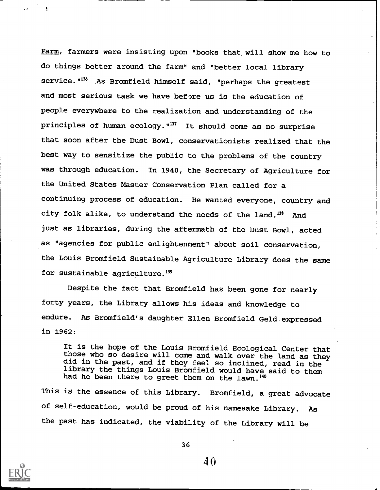Farm, farmers were insisting upon "books that will show me how to do things better around the farm" and "better local library service."<sup>136</sup> As Bromfield himself said, "perhaps the greatest and most serious task we have before us is the education of people everywhere to the realization and understanding of the principles of human ecology."<sup>137</sup> It should come as no surprise that soon after the Dust Bowl, conservationists realized that the best way to sensitize the public to the problems of the country was through education. In 1940, the Secretary of Agriculture for the United States Master Conservation Plan called for a continuing process of education. He wanted everyone, country and city folk alike, to understand the needs of the land.<sup>138</sup> And just as libraries, during the aftermath of the Dust Bowl, acted as "agencies for public enlightenment" about soil conservation, the Louis Bromfield Sustainable Agriculture Library does the same for sustainable agriculture.<sup>139</sup>

Despite the fact that Bromfield has been gone for nearly forty years, the Library allows his ideas and knowledge to endure. As Bromfield's daughter Ellen Bromfield Geld expressed in 1962:

It is the hope of the Louis Bromfield Ecological Center that those who so desire will come and walk over the land as they did in the past, and if they feel so inclined, read in the library the things Louis Bromfield would have said to them had he been there to greet them on the lawn.<sup>140</sup>

This is the essence of this Library. Bromfield, a great advocate of self-education, would be proud of his namesake Library. As the past has indicated, the viability of the Library will be



36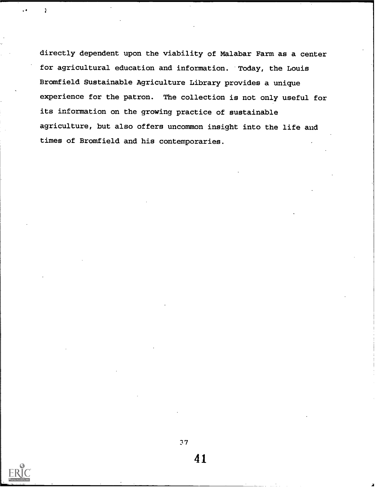directly dependent upon the viability of Malabar Farm as a center for agricultural education and information. Today, the Louis Bromfield Sustainable Agriculture Library provides a unique experience for the patron. The collection is not only useful for its information on the growing practice of sustainable agriculture, but also offers uncommon insight into the life and times of Bromfield and his contemporaries.



Ì.

2,7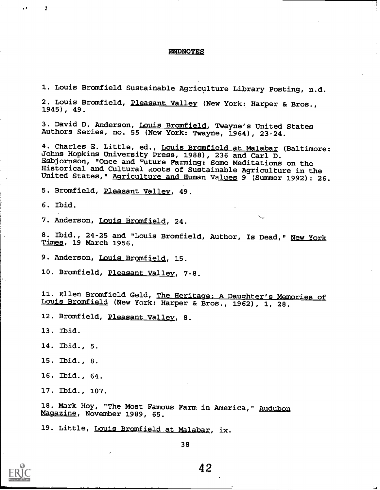#### ENDNOTES

1. Louis Bromfield Sustainable Agriculture Library Posting, n.d.

2. Louis Bromfield, Pleasant Valley (New York: Harper & Bros., 1945), 49.

3. David D. Anderson, Louis Bromfield, Twayne's United States Authors Series, no. 55 (New York: Twayne, 1964), 23-24.

4. Charles E. Little, ed., Louis Bromfield at Malabar (Baltimore: Johns Hopkins University Press, 1988), 236 and Carl D. Esbjornson, "Once and "uture Farming: Some Meditations on the Historical and Cultural .vcoots of Sustainable Agriculture in the United States, " Agriculture and Human Values 9 (Summer 1992): 26.

5. Bromfield, Pleasant Valley, 49.

6. Ibid.

 $\alpha = -1$ 

7. Anderson, Louis Bromfield, 24.

8. Ibid., 24-25 and "Louis Bromfield, Author, Is Dead," New York Times, 19 March 1956.

9. Anderson, Louis Bromfield, 15.

10. Bromfield, Pleasant Valley, 7-8.

11. Ellen Bromfield Geld, The Heritage: A Daughter's Memories of Louis Bromfield (New York: Harper & Bros., 1962), 1, 28.

12. Bromfield, Pleasant Valley, 8.

13. Ibid.

14. Ibid., 5.

15. Ibid., 8.

16. Ibid., 64.

17. Ibid., 107.

18. Mark Hoy, "The Most Famous Farm in America," Audubon Magazine, November 1989, 65.

19. Little, Louis Bromfield at Malabar, ix.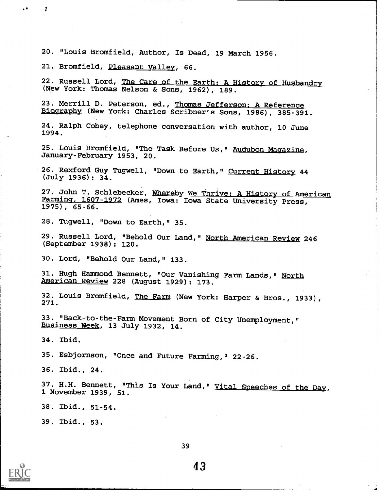20. "Louis Bromfield, Author, Is Dead, 19 March 1956.

21. Bromfield, Pleasant Valley, 66.

22. Russell Lord, The Care of the Earth: A History of Husbandry (New York: Thomas Nelson & Sons, 1962), 189.

23. Merrill D. Peterson, ed., Thomas Jefferson: A Reference Biography (New York: Charles Scribner's Sons, 1986), 385-391.

24. Ralph Cobey, telephone conversation with author, 10 June 1994.

25. Louis Bromfield, "The Task Before Us," Audubon Magazine, January-February 1953, 20.

26. Rexford Guy Tugwell, "Down to Earth," Current History 44 (July 1936): 34.

27. John T. Schlebecker, Whereby We Thrive: A History of American Farming. 1607-1972 (Ames, Iowa: Iowa State University Press, 1975), 65-66.

28. Tugwell, "Down to Earth," 35.

29. Russell Lord, "Behold Our Land," North American Review 246 (September 1938): 120.

30. Lord, "Behold Our Land," 133.

31. Hugh Hammond Bennett, "Our Vanishing Farm Lands," North American Review 228 (August 1929): 173.

32. Louis Bromfield, <u>The Farm</u> (New York: Harper & Bros., 1933),<br>271.

33. "Back-to-the-Farm Movement Born of City Unemployment," Business Week, 13 July 1932, 14.

34. Ibid.

35. Esbjornson, "Once and Future Farming," 22-26.

36. Ibid., 24.

37. H.H. Bennett, "This Is Your Land," Vital Speeches of the Day, 1 November 1939, 51.

38. Ibid., 51-54.

39. Ibid., 53.



 $\ddot{\phantom{a}}$ 

ł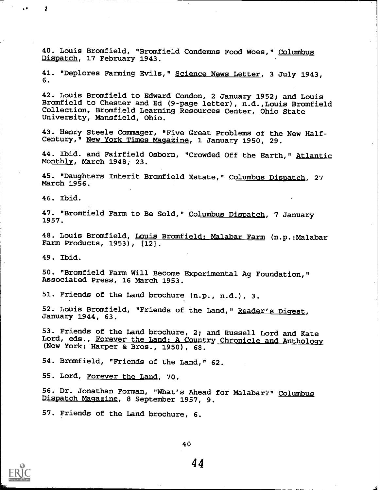40. Louis Bromfield, "Bromfield Condemns Food Woes," Columbug Dispatch, 17 February 1943.

41. "Deplores Farming Evils," Science News Letter, 3 July 1943, 6.

42. Louis Bromfield to Edward Condon, 2 January 1952; and Louis Bromfield to Chester and Ed (9-page letter), n.d.,Louis Bromfield Collection, Bromfield Learning Resources Center, Ohio State University, Mansfield, Ohio.

43. Henry Steele Commager, "Five Great Problems of the New Half-Century,<sup>"</sup> New York Times Magazine, 1 January 1950, 29.

44. Ibid. and Fairfield Osborn, "Crowded Off the Earth," Atlantic Monthly, March 1948, 23.

45. "Daughters Inherit Bromfield Estate," Columbus Dispatch, 27 March 1956.

46. Ibid.

 $\blacksquare$ 

47. "Bromfield Farm to Be Sold," <u>Columbus Dispatch</u>, 7 January 1957.

48. Louis Bromfield, Louis Bromfield: Malabar Farm (n.p.:Malabar Farm Products, 1953), [12].

49. Ibid.

50. "Bromfield Farm Will Become Experimental Ag Foundation," Associated Press, 16 March 1953.

51. Friends of the Land brochure (n.p., n.d.), 3.

52. Louis Bromfield, "Friends of the Land," Reader's Digest, January 1944, 63.

53. Friends of the Land brochure, 2; and Russell Lord and Kate Lord, eds., Forever the Land: A Country Chronicle and Anthology (New York: Harper & Bros., 1950), 68.

54. Bromfield, "Friends of the Land," 62.

55. Lord, Forever the Land, 70.

56. Dr. Jonathan Forman, "What's Ahead for Malabar?" Columbus Dispatch Magazine, 8 September 1957, 9.

57. Friends of the Land brochure, 6.

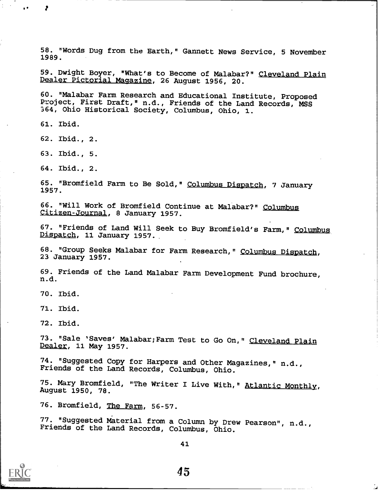58. "Words Dug from the Earth," Gannett News Service, 5 November 1989.

59. Dwight Boyer, "What's to Become of Malabar?" Cleveland Plain Dealer Pictorial Magazine, 26 August 1956, 20.

60. "Malabar Farm Research and Educational Institute, Proposed Project, First Draft," n.d., Friends of the Land Records, MSS 364, Ohio Historical Society, Columbus, Ohio, 1.

61. Ibid.

62. Ibid., 2.

63. Ibid., 5.

64. Ibid., 2.

65. "Bromfield Farm to Be Sold," Columbus Dispatch, 7 January 1957.

66. "Will Work of Bromfield Continue at Malabar?" Columbus Citizen-Journal, 8 January 1957.

67. "Friends of Land Will Seek to Buy Bromfield's Farm," Columbus Dispatch, 11 January 1957.

68. "Group Seeks Malabar for Farm Research," Columbus Dispatch, 23 January 1957.

69. Friends of the Land Malabar Farm Development Fund brochure, n.d.

70. Ibid.

71. Ibid.

72. Ibid.

73. "Sale 'Saves' Malabar; Farm Test to Go On, " Cleveland Plain Dealer, 11 May 1957.

74. "Suggested Copy for Harpers and Other Magazines," n.d., Friends of the Land Records, Columbus, Ohio.

75. Mary Bromfield, "The Writer I Live With," Atlantic Monthly, August 1950, 78.

76. Bromfield, The Farm, 56-57.

77. "Suggested Material from a Column by Drew Pearson", n.d., Friends of the Land Records, Columbus, Ohio.



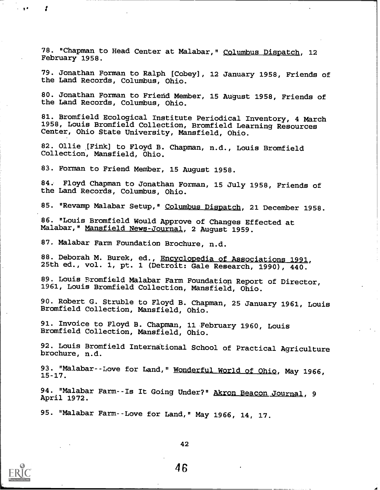78. "Chapman to Head Center at Malabar," Columbus Dispatch, 12 February 1958.

79. Jonathan Forman to Ralph [Cobey], 12 January 1958, Friends of the Land Records, Columbus, Ohio.

80. Jonathan Forman to Frierid Member, 15 August 1958, Friends of the Land Records, Columbus, Ohio.

81. Bromfield Ecological Institute Periodical Inventory, 4 March 1958, Louis Bromfield Collection, Bromfield Learning Resources Center, Ohio State University, Mansfield, Ohio.

82. Ollie [Fink] to Floyd B. Chapman, n.d., Louis Bromfield Collection, Mansfield, Ohio.

83. Forman to Friend Member, 15 August 1958.

84. Floyd Chapman to Jonathan Forman, 15 July 1958, Friends of the Land Records, Columbus, Ohio.

85. "Revamp Malabar Setup," Columbus Dispatch, 21 December 1958.

86. "Louis Bromfield Would Approve of Changes Effected at Malabar, " Mansfield News-Journal, 2 August 1959.

87. Malabar Farm Foundation Brochure, n.d.

88. Deborah M. Burek, ed., Encyclopedia of Associations 1991,<br>25th ed., vol. 1, pt. 1 (Detroit: Gale Research, 1990), 440.

89. Louis Bromfield Malabar Farm Foundation Report of Director, 1961, Louis Bromfield Collection, Mansfield, Ohio.

90. Robert G. Struble to Floyd B. Chapman, 25 January 1961, Louis Bromfield Collection, Mansfield, Ohio.

91. Invoice to Floyd B. Chapman, 11 February 1960, Louis Bromfield Collection, Mansfield, Ohio.

92. Louis Bromfield International School of Practical Agriculture brochure, n.d.

93. "Malabar--Love for Land," Wonderful World of Ohio, May 1966,

94. "Malabar Farm--Is It Going Under?" Akron Beacon Journal, 9<br>April 1972.

95. "Malabar Farm--Love for Land," May 1966, 14, 17.



ea

42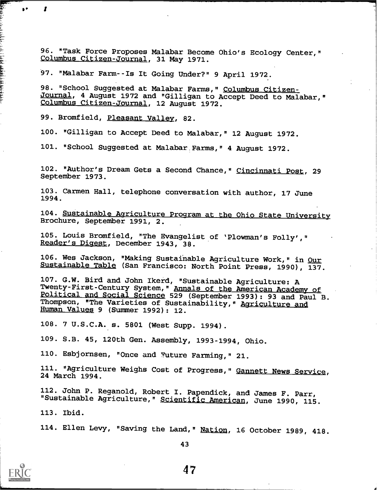96. "Task Force Proposes Malabar Become Ohio's Ecology Center," Columbus Citizen-Journal, 31 May 1971.

97. "Malabar Farm--Is It Going Under?" 9 April 1972.

98. "School Suggested at Malabar Farms," Columbus Citizen-Journal, 4 August 1972 and "Gilligan to Accept Deed to Malabar," Columbus Citizen-Journal, 12 August 1972.

99. Bromfield, Pleasant Valley, 82.

100. "Gilligan to Accept Deed to Malabar," 12 August 1972.

101. "School Suggested at Malabar. Farms," 4 August 1972.

102. "Author's Dream Gets a Second Chance," Cincinnati Post, 29 September 1973.

103. Carmen Hall, telephone conversation with author, 17 June 1994.

104. Sustainable Agriculture Program at the Ohio State University Brochure, September 1991, 2.

105. Louis Bromfield, "The Evangelist of 'Plowman's Folly'," Reader's Digest, December 1943, 38.

106. Wes Jackson, "Making Sustainable Agriculture Work," in Our Sustainable Table (San Francisco: North Point Press, 1990), 137.

107. G.W. Bird and John Ikerd, "Sustainable Agriculture: A Twenty-First-Century System," Annals of the American Academy of Political and Social Science 529 (September 1993): 93 and Paul B. Thompson, "The Varieties of Sustainability," Agriculture and Human Values 9 (Summer 1992): 12.

108. 7 U.S.C.A. s. 5801 (West Supp. 1994).

109. S.B. 45, 120th Gen. Assembly, 1993-1994, Ohio.

110. Esbjornsen, "Once and Future Farming," 21.

111. "Agriculture Weighs Cost of Progress," Gannett News Service, 24 March 1994.

112. John P. Reganold, Robert I. Papendick, and James F. Parr, "Sustainable Agriculture," Scientific American, June 1990, 115.

113. Ibid.

114. Ellen Levy, "Saving the Land," Nation, 16 October 1989, 418.

 $\bullet$ 

Ť

43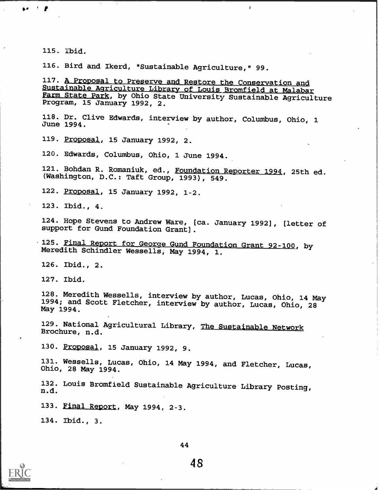115. Ibid.

 $\bullet$  '  $\bullet$  '  $\bullet$ 

116. Bird and Ikerd, "Sustainable Agriculture," 99.

117. A Proposal to Preserve and Restore the Conservation and Sustainable Agriculture Library of Louis Bromfield at Malabar Farm State Park, by Ohio State University Sustainable Agriculture Program, 15 January 1992, 2.

 $\lambda$ 

118. Dr. Clive Edwards, interview by author, Columbus, Ohio, 1 June 1994.

119. Proposal, 15 January 1992, 2.

120. Edwards, Columbus, Ohio, 1 June 1994.

121. Bohdan R. Romaniuk, ed., Foundation Reporter 1994, 25th ed. (Washington, D.C.: Taft Group, 1993), 549.

122. Proposal, 15 January 1992, 1-2.

123. Ibid., 4.

124. Hope Stevens to Andrew Ware, [ca. January 1992], [letter of support for Gund Foundation Grant].

125. Final Report for George Gund Foundation Grant 92-100, by Meredith Schindler Wessells, May 1994, 1.

126. Ibid., 2.

127. Ibid.

128. Meredith Wessells, interview by author, Lucas, Ohio, 14 May 1994; and Scott Fletcher, interview by author, Lucas, Ohio, 28 May 1994.

129. National Agricultural Library, The Sustainable Network Brochure, n.d.

130. Proposal, 15 January 1992, 9.

131. Wessells, Lucas, Ohio, 14 May 1994, and Fletcher, Lucas, Ohio, 28 May 1994.

132. Louis Bromfield Sustainable Agriculture Library Posting, n.d.

133. Final Report, May 1994, 2-3.

134. Ibid., 3.

44